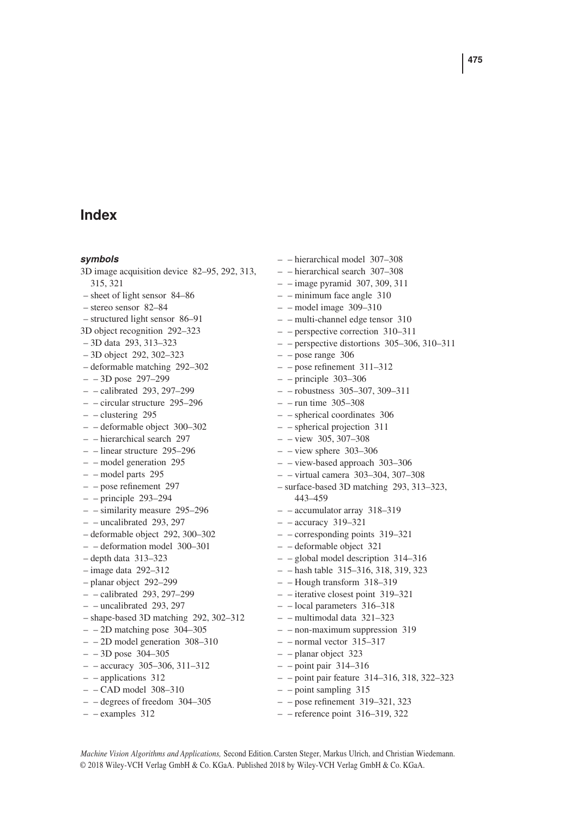# **Index**

#### *symbols*

3D image acquisition device 82–95, 292, 313, 315, 321 – sheet of light sensor 84–86 – stereo sensor 82–84 – structured light sensor 86–91 3D object recognition 292–323 – 3D data 293, 313–323 – 3D object 292, 302–323 – deformable matching 292–302 – – 3D pose 297–299 – – calibrated 293, 297–299 – – circular structure 295–296 – – clustering 295 – – deformable object 300–302 – – hierarchical search 297 – – linear structure 295–296 – – model generation 295 – – model parts 295 – – pose refinement 297 – – principle 293–294 – – similarity measure 295–296 – – uncalibrated 293, 297 – deformable object 292, 300–302 – – deformation model 300–301 – depth data 313–323 – image data 292–312 – planar object 292–299 – – calibrated 293, 297–299 – – uncalibrated 293, 297 – shape-based 3D matching 292, 302–312 – – 2D matching pose 304–305 – – 2D model generation 308–310 – – 3D pose 304–305 – – accuracy 305–306, 311–312 – – applications 312 – – CAD model 308–310 – – degrees of freedom 304–305 – – examples 312

– – hierarchical model 307–308 – – hierarchical search 307–308  $-$  – image pyramid 307, 309, 311 – – minimum face angle 310 – – model image 309–310 – – multi-channel edge tensor 310 – – perspective correction 310–311 – – perspective distortions 305–306, 310–311  $-$  – pose range 306 – – pose refinement 311–312 – – principle 303–306 – – robustness 305–307, 309–311 – – run time 305–308 – – spherical coordinates 306 – – spherical projection 311 – – view 305, 307–308  $-$  – view sphere 303–306 – – view-based approach 303–306 – – virtual camera 303–304, 307–308 – surface-based 3D matching 293, 313–323, 443–459 – – accumulator array 318–319 – – accuracy 319–321 – – corresponding points 319–321 – – deformable object 321 – – global model description 314–316 – – hash table 315–316, 318, 319, 323 – – Hough transform 318–319 – – iterative closest point 319–321 – – local parameters 316–318 – – multimodal data 321–323 – – non-maximum suppression 319 – – normal vector 315–317 – – planar object 323 – – point pair 314–316 – – point pair feature 314–316, 318, 322–323 – – point sampling 315 – – pose refinement 319–321, 323

– – reference point 316–319, 322

*Machine Vision Algorithms and Applications,* Second Edition.Carsten Steger, Markus Ulrich, and Christian Wiedemann. © 2018 Wiley-VCH Verlag GmbH & Co. KGaA. Published 2018 by Wiley-VCH Verlag GmbH & Co. KGaA.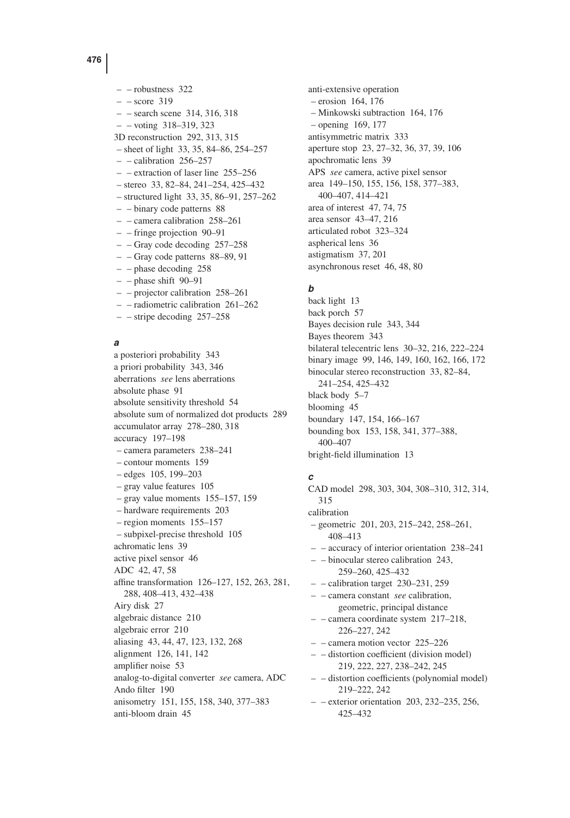– – robustness 322  $-$  – score 319 – – search scene 314, 316, 318 – – voting 318–319, 323 3D reconstruction 292, 313, 315 – sheet of light 33, 35, 84–86, 254–257 – – calibration 256–257 – – extraction of laser line 255–256 – stereo 33, 82–84, 241–254, 425–432 – structured light 33, 35, 86–91, 257–262 – – binary code patterns 88 – – camera calibration 258–261 – – fringe projection 90–91 – – Gray code decoding 257–258

- – Gray code patterns 88–89, 91
- – phase decoding 258
- $-$  phase shift 90–91
- – projector calibration 258–261
- – radiometric calibration 261–262
- – stripe decoding 257–258

#### *a*

a posteriori probability 343 a priori probability 343, 346 aberrations *see* lens aberrations absolute phase 91 absolute sensitivity threshold 54 absolute sum of normalized dot products 289 accumulator array 278–280, 318 accuracy 197–198 – camera parameters 238–241 – contour moments 159 – edges 105, 199–203 – gray value features 105 – gray value moments 155–157, 159 – hardware requirements 203 – region moments 155–157 – subpixel-precise threshold 105 achromatic lens 39 active pixel sensor 46 ADC 42, 47, 58 affine transformation 126–127, 152, 263, 281, 288, 408–413, 432–438 Airy disk 27 algebraic distance 210 algebraic error 210 aliasing 43, 44, 47, 123, 132, 268 alignment 126, 141, 142 amplifier noise 53 analog-to-digital converter *see* camera, ADC Ando filter 190 anisometry 151, 155, 158, 340, 377–383 anti-bloom drain 45

anti-extensive operation – erosion 164, 176 – Minkowski subtraction 164, 176 – opening 169, 177 antisymmetric matrix 333 aperture stop 23, 27–32, 36, 37, 39, 106 apochromatic lens 39 APS *see* camera, active pixel sensor area 149–150, 155, 156, 158, 377–383, 400–407, 414–421 area of interest 47, 74, 75 area sensor 43–47, 216 articulated robot 323–324 aspherical lens 36 astigmatism 37, 201 asynchronous reset 46, 48, 80

### *b*

back light 13 back porch 57 Bayes decision rule 343, 344 Bayes theorem 343 bilateral telecentric lens 30–32, 216, 222–224 binary image 99, 146, 149, 160, 162, 166, 172 binocular stereo reconstruction 33, 82–84, 241–254, 425–432 black body 5–7 blooming 45 boundary 147, 154, 166–167 bounding box 153, 158, 341, 377–388, 400–407 bright-field illumination 13

#### *c*

CAD model 298, 303, 304, 308–310, 312, 314, 315 calibration – geometric 201, 203, 215–242, 258–261, 408–413 – – accuracy of interior orientation 238–241 – – binocular stereo calibration 243, 259–260, 425–432  $-$  – calibration target 230–231, 259 – – camera constant *see* calibration, geometric, principal distance – – camera coordinate system 217–218, 226–227, 242 – – camera motion vector 225–226 – – distortion coefficient (division model) 219, 222, 227, 238–242, 245 – – distortion coefficients (polynomial model) 219–222, 242 – – exterior orientation 203, 232–235, 256, 425–432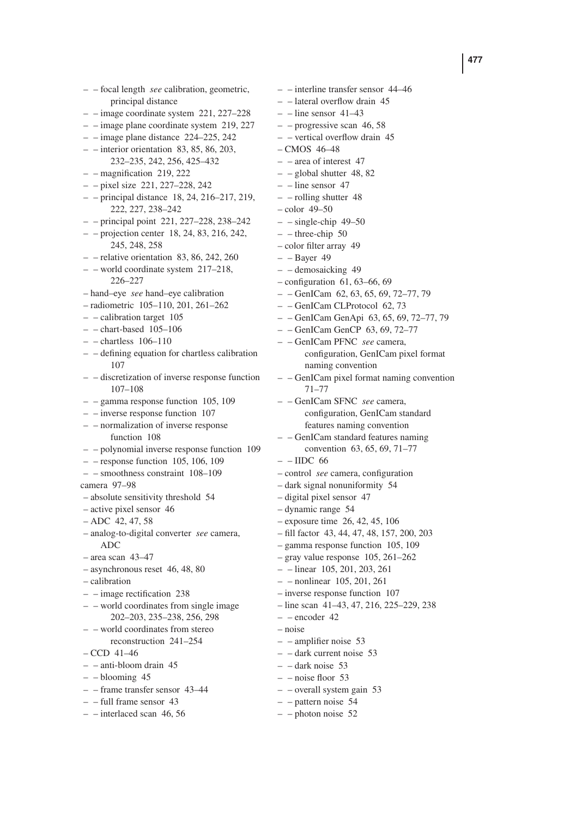– – focal length *see* calibration, geometric, principal distance – – image coordinate system 221, 227–228 – – image plane coordinate system 219, 227  $-$  – image plane distance 224–225, 242  $-$  – interior orientation 83, 85, 86, 203, 232–235, 242, 256, 425–432  $-$  – magnification 219, 222 – – pixel size 221, 227–228, 242 – – principal distance 18, 24, 216–217, 219, 222, 227, 238–242 – – principal point 221, 227–228, 238–242 – – projection center 18, 24, 83, 216, 242, 245, 248, 258  $-$  - relative orientation 83, 86, 242, 260 – – world coordinate system 217–218, 226–227 – hand–eye *see* hand–eye calibration – radiometric 105–110, 201, 261–262 – – calibration target 105  $-$  - chart-based  $105-106$  $-$  – chartless 106–110 – – defining equation for chartless calibration 107 – – discretization of inverse response function 107–108  $-$  – gamma response function 105, 109 – – inverse response function 107 – – normalization of inverse response function 108 – – polynomial inverse response function 109  $-$  – response function 105, 106, 109 – – smoothness constraint 108–109 camera 97–98 – absolute sensitivity threshold 54 – active pixel sensor 46  $-$  ADC 42, 47, 58 – analog-to-digital converter *see* camera, ADC – area scan 43–47 – asynchronous reset 46, 48, 80 – calibration – – image rectification 238 – – world coordinates from single image 202–203, 235–238, 256, 298 – – world coordinates from stereo reconstruction 241–254 – CCD 41–46 – – anti-bloom drain 45 – – blooming 45 – – frame transfer sensor 43–44  $-$  – full frame sensor 43 – – interlaced scan 46, 56

– – interline transfer sensor 44–46 – – lateral overflow drain 45  $-$  – line sensor 41–43  $-$  – progressive scan 46, 58 – – vertical overflow drain 45 – CMOS 46–48  $-$  – area of interest 47  $-$  – global shutter 48, 82  $-$  – line sensor 47 – – rolling shutter 48 – color 49–50 – – single-chip 49–50  $-$  – three-chip 50 – color filter array 49  $-$  – Bayer 49 – – demosaicking 49 – configuration 61, 63–66, 69  $-$  – GenICam 62, 63, 65, 69, 72–77, 79 – – GenICam CLProtocol 62, 73 – – GenICam GenApi 63, 65, 69, 72–77, 79 – – GenICam GenCP 63, 69, 72–77 – – GenICam PFNC *see* camera, configuration, GenICam pixel format naming convention – – GenICam pixel format naming convention 71–77 – – GenICam SFNC *see* camera, configuration, GenICam standard features naming convention – – GenICam standard features naming convention 63, 65, 69, 71–77  $-$  – IIDC 66 – control *see* camera, configuration – dark signal nonuniformity 54 – digital pixel sensor 47 – dynamic range 54 – exposure time 26, 42, 45, 106 – fill factor 43, 44, 47, 48, 157, 200, 203 – gamma response function 105, 109 – gray value response 105, 261–262 – – linear 105, 201, 203, 261 – – nonlinear 105, 201, 261 – inverse response function 107 – line scan 41–43, 47, 216, 225–229, 238  $-$  – encoder 42 – noise – – amplifier noise 53 – – dark current noise 53  $-$  – dark noise 53  $-$  – noise floor 53 – – overall system gain 53 – – pattern noise 54

 $-$  – photon noise 52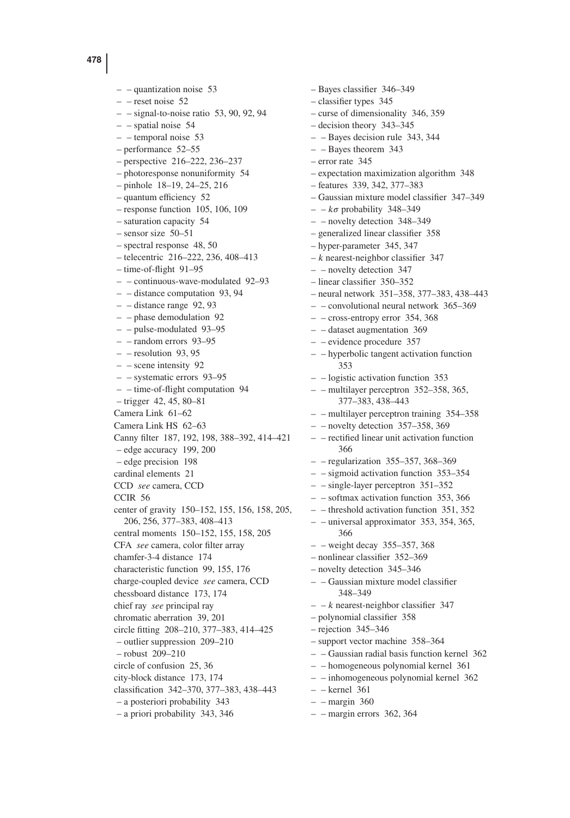$-$  – quantization noise 53  $-$  – reset noise 52  $-$  – signal-to-noise ratio 53, 90, 92, 94  $-$  – spatial noise 54 – – temporal noise 53 – performance 52–55 – perspective 216–222, 236–237 – photoresponse nonuniformity 54 – pinhole 18–19, 24–25, 216 – quantum efficiency 52 – response function 105, 106, 109 – saturation capacity 54 – sensor size 50–51 – spectral response 48, 50 – telecentric 216–222, 236, 408–413 – time-of-flight 91–95 – – continuous-wave-modulated 92–93 – – distance computation 93, 94  $-$  – distance range 92, 93 – – phase demodulation 92 – – pulse-modulated 93–95 – – random errors 93–95 – – resolution 93, 95 – – scene intensity 92 – – systematic errors 93–95 – – time-of-flight computation 94 – trigger 42, 45, 80–81 Camera Link 61–62 Camera Link HS 62–63 Canny filter 187, 192, 198, 388–392, 414–421 – edge accuracy 199, 200 – edge precision 198 cardinal elements 21 CCD *see* camera, CCD CCIR 56 center of gravity 150–152, 155, 156, 158, 205, 206, 256, 377–383, 408–413 central moments 150–152, 155, 158, 205 CFA *see* camera, color filter array chamfer-3-4 distance 174 characteristic function 99, 155, 176 charge-coupled device *see* camera, CCD chessboard distance 173, 174 chief ray *see* principal ray chromatic aberration 39, 201 circle fitting 208–210, 377–383, 414–425 – outlier suppression 209–210 – robust 209–210 circle of confusion 25, 36 city-block distance 173, 174 classification 342–370, 377–383, 438–443 – a posteriori probability 343 – a priori probability 343, 346

– Bayes classifier 346–349 – classifier types 345 – curse of dimensionality 346, 359 – decision theory 343–345 – – Bayes decision rule 343, 344 – – Bayes theorem 343 – error rate 345 – expectation maximization algorithm 348 – features 339, 342, 377–383 – Gaussian mixture model classifier 347–349  $- - k\sigma$  probability 348–349 – – novelty detection 348–349 – generalized linear classifier 358 – hyper-parameter 345, 347  $-k$  nearest-neighbor classifier 347 – – novelty detection 347 – linear classifier 350–352 – neural network 351–358, 377–383, 438–443 – – convolutional neural network 365–369 – – cross-entropy error 354, 368 – – dataset augmentation 369 – – evidence procedure 357 – – hyperbolic tangent activation function 353 – – logistic activation function 353 – – multilayer perceptron 352–358, 365, 377–383, 438–443 – – multilayer perceptron training 354–358  $-$  – novelty detection 357–358, 369 – – rectified linear unit activation function 366 – – regularization 355–357, 368–369 – – sigmoid activation function 353–354 – – single-layer perceptron 351–352 – – softmax activation function 353, 366 – – threshold activation function 351, 352 – – universal approximator 353, 354, 365, 366  $-$  – weight decay 355–357, 368 – nonlinear classifier 352–369 – novelty detection 345–346 – – Gaussian mixture model classifier 348–349  $- -k$  nearest-neighbor classifier 347 – polynomial classifier 358 – rejection 345–346 – support vector machine 358–364 – – Gaussian radial basis function kernel 362 – – homogeneous polynomial kernel 361 – – inhomogeneous polynomial kernel 362 – – kernel 361  $-$  – margin 360  $-$  – margin errors 362, 364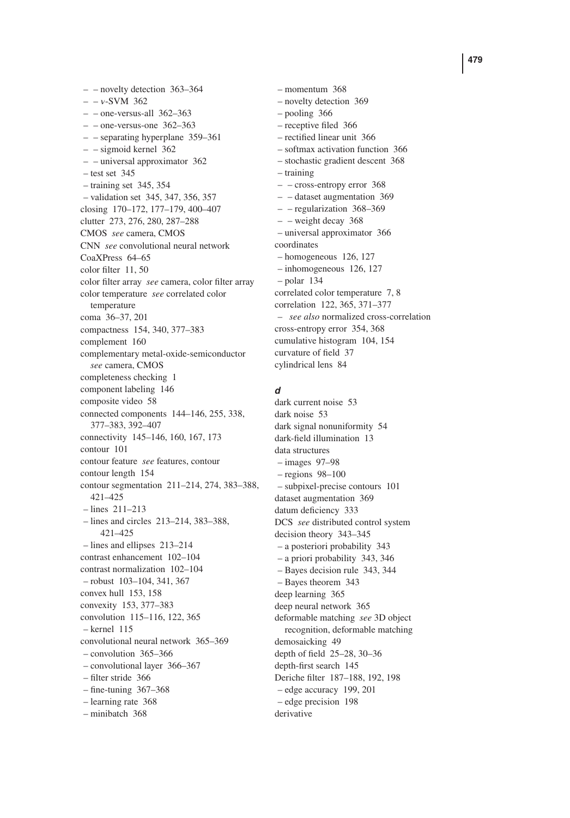– – novelty detection 363–364  $- - v$ -SVM 362  $-$  – one-versus-all 362–363  $-$  – one-versus-one 362–363 – – separating hyperplane 359–361 – – sigmoid kernel 362 – – universal approximator 362  $-$  test set 345 – training set 345, 354 – validation set 345, 347, 356, 357 closing 170–172, 177–179, 400–407 clutter 273, 276, 280, 287–288 CMOS *see* camera, CMOS CNN *see* convolutional neural network CoaXPress 64–65 color filter 11, 50 color filter array *see* camera, color filter array color temperature *see* correlated color temperature coma 36–37, 201 compactness 154, 340, 377–383 complement 160 complementary metal-oxide-semiconductor *see* camera, CMOS completeness checking 1 component labeling 146 composite video 58 connected components 144–146, 255, 338, 377–383, 392–407 connectivity 145–146, 160, 167, 173 contour 101 contour feature *see* features, contour contour length 154 contour segmentation 211–214, 274, 383–388, 421–425 – lines 211–213 – lines and circles 213–214, 383–388, 421–425 – lines and ellipses 213–214 contrast enhancement 102–104 contrast normalization 102–104 – robust 103–104, 341, 367 convex hull 153, 158 convexity 153, 377–383 convolution 115–116, 122, 365 – kernel 115 convolutional neural network 365–369 – convolution 365–366 – convolutional layer 366–367 – filter stride 366 – fine-tuning 367–368 – learning rate 368

– minibatch 368

– momentum 368 – novelty detection 369 – pooling 366 – receptive filed 366 – rectified linear unit 366 – softmax activation function 366 – stochastic gradient descent 368 – training – – cross-entropy error 368 – – dataset augmentation 369 – – regularization 368–369 – – weight decay 368 – universal approximator 366 coordinates – homogeneous 126, 127 – inhomogeneous 126, 127 – polar 134 correlated color temperature 7, 8 correlation 122, 365, 371–377 – *see also* normalized cross-correlation cross-entropy error 354, 368 cumulative histogram 104, 154 curvature of field 37 cylindrical lens 84

## *d*

dark current noise 53 dark noise 53 dark signal nonuniformity 54 dark-field illumination 13 data structures – images 97–98 – regions 98–100 – subpixel-precise contours 101 dataset augmentation 369 datum deficiency 333 DCS *see* distributed control system decision theory 343–345 – a posteriori probability 343 – a priori probability 343, 346 – Bayes decision rule 343, 344 – Bayes theorem 343 deep learning 365 deep neural network 365 deformable matching *see* 3D object recognition, deformable matching demosaicking 49 depth of field 25–28, 30–36 depth-first search 145 Deriche filter 187–188, 192, 198 – edge accuracy 199, 201 – edge precision 198 derivative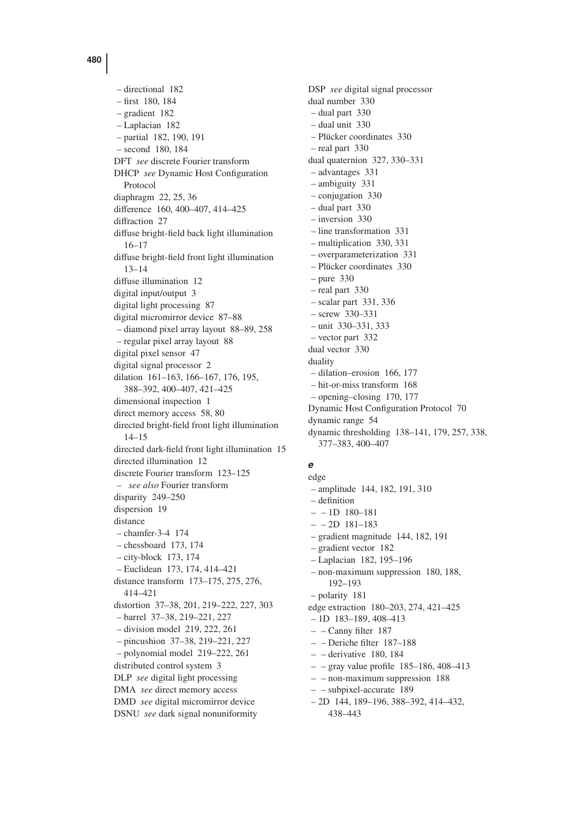– directional 182 – first 180, 184 – gradient 182 – Laplacian 182 – partial 182, 190, 191 – second 180, 184 DFT *see* discrete Fourier transform DHCP *see* Dynamic Host Configuration Protocol diaphragm 22, 25, 36 difference 160, 400–407, 414–425 diffraction 27 diffuse bright-field back light illumination 16–17 diffuse bright-field front light illumination 13–14 diffuse illumination 12 digital input/output 3 digital light processing 87 digital micromirror device 87–88 – diamond pixel array layout 88–89, 258 – regular pixel array layout 88 digital pixel sensor 47 digital signal processor 2 dilation 161–163, 166–167, 176, 195, 388–392, 400–407, 421–425 dimensional inspection 1 direct memory access 58, 80 directed bright-field front light illumination 14–15 directed dark-field front light illumination 15 directed illumination 12 discrete Fourier transform 123–125 – *see also* Fourier transform disparity 249–250 dispersion 19 distance – chamfer-3-4 174 – chessboard 173, 174 – city-block 173, 174 – Euclidean 173, 174, 414–421 distance transform 173–175, 275, 276, 414–421 distortion 37–38, 201, 219–222, 227, 303 – barrel 37–38, 219–221, 227 – division model 219, 222, 261 – pincushion 37–38, 219–221, 227 – polynomial model 219–222, 261 distributed control system 3 DLP *see* digital light processing DMA *see* direct memory access DMD *see* digital micromirror device DSNU *see* dark signal nonuniformity

DSP *see* digital signal processor dual number 330 – dual part 330 – dual unit 330 – Plücker coordinates 330 – real part 330 dual quaternion 327, 330–331 – advantages 331 – ambiguity 331 – conjugation 330 – dual part 330 – inversion 330 – line transformation 331 – multiplication 330, 331 – overparameterization 331 – Plücker coordinates 330 – pure 330 – real part 330 – scalar part 331, 336 – screw 330–331 – unit 330–331, 333 – vector part 332 dual vector 330 duality – dilation–erosion 166, 177 – hit-or-miss transform 168 – opening–closing 170, 177 Dynamic Host Configuration Protocol 70 dynamic range 54 dynamic thresholding 138–141, 179, 257, 338, 377–383, 400–407

## *e*

edge – amplitude 144, 182, 191, 310 – definition – – 1D 180–181  $- - 2D$  181–183 – gradient magnitude 144, 182, 191 – gradient vector 182 – Laplacian 182, 195–196 – non-maximum suppression 180, 188, 192–193 – polarity 181 edge extraction 180–203, 274, 421–425 – 1D 183–189, 408–413 – – Canny filter 187 – – Deriche filter 187–188 – – derivative 180, 184 – – gray value profile 185–186, 408–413 – – non-maximum suppression 188 – – subpixel-accurate 189 – 2D 144, 189–196, 388–392, 414–432, 438–443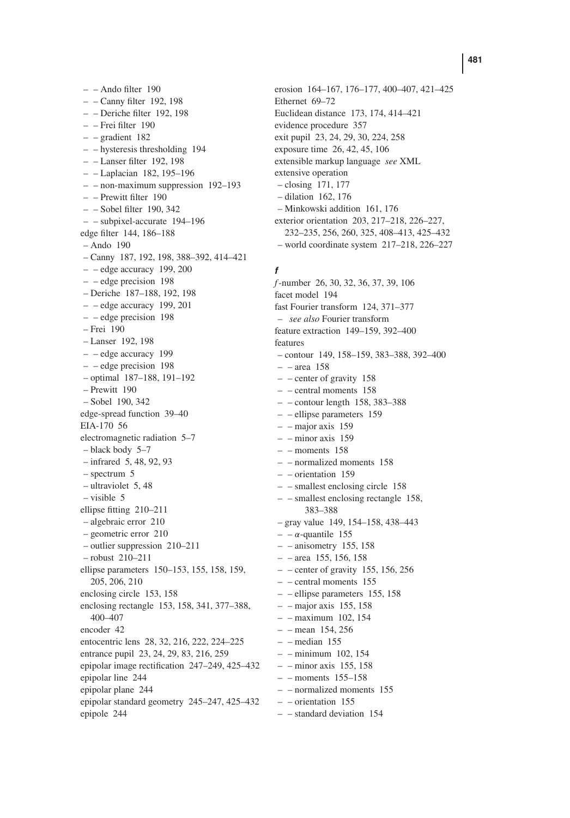– – Ando filter 190 – – Canny filter 192, 198 – – Deriche filter 192, 198 – – Frei filter 190 – – gradient 182 – – hysteresis thresholding 194 – – Lanser filter 192, 198 – – Laplacian 182, 195–196 – – non-maximum suppression 192–193 – – Prewitt filter 190 – – Sobel filter 190, 342 – – subpixel-accurate 194–196 edge filter 144, 186–188  $-$  Ando 190 – Canny 187, 192, 198, 388–392, 414–421  $-$  – edge accuracy 199, 200 – – edge precision 198 – Deriche 187–188, 192, 198  $-$  – edge accuracy 199, 201 – – edge precision 198 – Frei 190 – Lanser 192, 198 – – edge accuracy 199 – – edge precision 198 – optimal 187–188, 191–192 – Prewitt 190 – Sobel 190, 342 edge-spread function 39–40 EIA-170 56 electromagnetic radiation 5–7 – black body 5–7 – infrared 5, 48, 92, 93 – spectrum 5 – ultraviolet 5, 48 – visible 5 ellipse fitting 210–211 – algebraic error 210 – geometric error 210 – outlier suppression 210–211 – robust 210–211 ellipse parameters 150–153, 155, 158, 159, 205, 206, 210 enclosing circle 153, 158 enclosing rectangle 153, 158, 341, 377–388, 400–407 encoder 42 entocentric lens 28, 32, 216, 222, 224–225 entrance pupil 23, 24, 29, 83, 216, 259 epipolar image rectification 247–249, 425–432 epipolar line 244 epipolar plane 244 epipolar standard geometry 245–247, 425–432 epipole 244

erosion 164–167, 176–177, 400–407, 421–425 Ethernet 69–72 Euclidean distance 173, 174, 414–421 evidence procedure 357 exit pupil 23, 24, 29, 30, 224, 258 exposure time 26, 42, 45, 106 extensible markup language *see* XML extensive operation – closing 171, 177 – dilation 162, 176 – Minkowski addition 161, 176 exterior orientation 203, 217–218, 226–227, 232–235, 256, 260, 325, 408–413, 425–432 – world coordinate system 217–218, 226–227

## *f*

*f*-number 26, 30, 32, 36, 37, 39, 106 facet model 194 fast Fourier transform 124, 371–377 – *see also* Fourier transform feature extraction 149–159, 392–400 features – contour 149, 158–159, 383–388, 392–400 – – area 158 – – center of gravity 158 – – central moments 158  $-$  – contour length 158, 383–388 – – ellipse parameters 159 – – major axis 159  $-$  – minor axis 159  $-$  – moments 158 – – normalized moments 158 – – orientation 159 – – smallest enclosing circle 158 – – smallest enclosing rectangle 158, 383–388 – gray value 149, 154–158, 438–443  $- - \alpha$ -quantile 155  $-$  – anisometry 155, 158  $-$  – area 155, 156, 158  $-$  – center of gravity 155, 156, 256 – – central moments 155 – – ellipse parameters 155, 158  $-$  – major axis 155, 158 – – maximum 102, 154  $-$  – mean 154, 256 – – median 155 – – minimum 102, 154  $-$  – minor axis 155, 158  $-$  – moments 155–158 – – normalized moments 155  $-$  – orientation 155 – – standard deviation 154

### **481**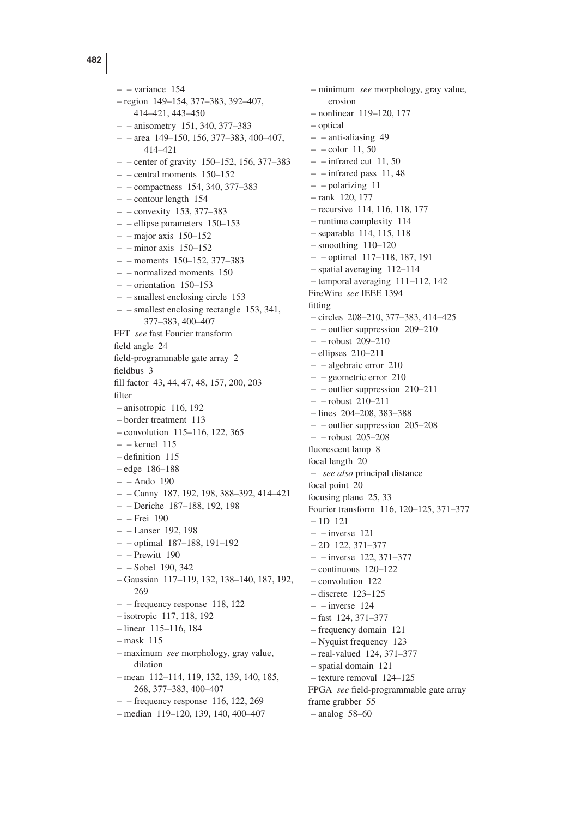– – variance 154 – region 149–154, 377–383, 392–407, 414–421, 443–450 – – anisometry 151, 340, 377–383  $-$  – area 149–150, 156, 377–383, 400–407, 414–421  $-$  – center of gravity 150–152, 156, 377–383 – – central moments 150–152 – – compactness 154, 340, 377–383 – – contour length 154 – – convexity 153, 377–383 – – ellipse parameters 150–153  $-$  – major axis 150–152  $-$  – minor axis 150–152 – – moments 150–152, 377–383 – – normalized moments 150 – – orientation 150–153 – – smallest enclosing circle 153 – – smallest enclosing rectangle 153, 341, 377–383, 400–407 FFT *see* fast Fourier transform field angle 24 field-programmable gate array 2 fieldbus 3 fill factor 43, 44, 47, 48, 157, 200, 203 filter – anisotropic 116, 192 – border treatment 113 – convolution 115–116, 122, 365 – – kernel 115 – definition 115 – edge 186–188 – – Ando 190 – – Canny 187, 192, 198, 388–392, 414–421 – – Deriche 187–188, 192, 198 – – Frei 190 – – Lanser 192, 198 – – optimal 187–188, 191–192 – – Prewitt 190 – – Sobel 190, 342 – Gaussian 117–119, 132, 138–140, 187, 192, 269 – – frequency response 118, 122 – isotropic 117, 118, 192 – linear 115–116, 184 – mask 115 – maximum *see* morphology, gray value, dilation – mean 112–114, 119, 132, 139, 140, 185, 268, 377–383, 400–407  $-$  – frequency response 116, 122, 269 – median 119–120, 139, 140, 400–407

– minimum *see* morphology, gray value, erosion – nonlinear 119–120, 177 – optical – – anti-aliasing 49  $-$  – color 11, 50  $-$  – infrared cut 11, 50  $-$  – infrared pass 11, 48 – – polarizing 11 – rank 120, 177 – recursive 114, 116, 118, 177 – runtime complexity 114 – separable 114, 115, 118  $-$  smoothing  $110-120$ – – optimal 117–118, 187, 191 – spatial averaging 112–114 – temporal averaging 111–112, 142 FireWire *see* IEEE 1394 fitting – circles 208–210, 377–383, 414–425 – – outlier suppression 209–210 – – robust 209–210 – ellipses 210–211 – – algebraic error 210 – – geometric error 210 – – outlier suppression 210–211  $=$  – robust 210–211 – lines 204–208, 383–388 – – outlier suppression 205–208 – – robust 205–208 fluorescent lamp 8 focal length 20 – *see also* principal distance focal point 20 focusing plane 25, 33 Fourier transform 116, 120–125, 371–377 – 1D 121  $-$  – inverse 121 – 2D 122, 371–377 – – inverse 122, 371–377 – continuous 120–122 – convolution 122 – discrete 123–125  $-$  – inverse 124 – fast 124, 371–377 – frequency domain 121 – Nyquist frequency 123 – real-valued 124, 371–377 – spatial domain 121 – texture removal 124–125 FPGA *see* field-programmable gate array frame grabber 55 – analog 58–60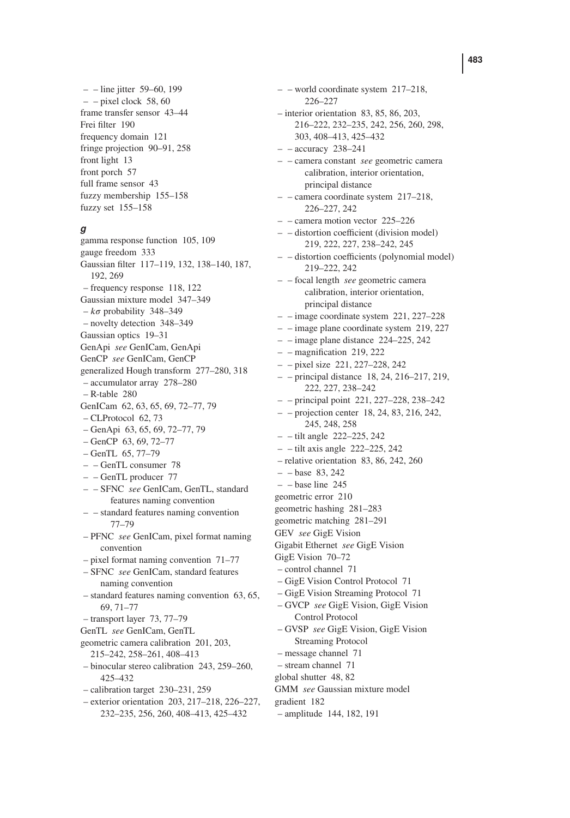– – line jitter 59–60, 199  $-$  – pixel clock 58, 60 frame transfer sensor 43–44 Frei filter 190 frequency domain 121 fringe projection 90–91, 258 front light 13 front porch 57 full frame sensor 43 fuzzy membership 155–158 fuzzy set 155–158

### *g*

gamma response function 105, 109 gauge freedom 333 Gaussian filter 117–119, 132, 138–140, 187, 192, 269 – frequency response 118, 122 Gaussian mixture model 347–349  $-k\sigma$  probability 348–349 – novelty detection 348–349 Gaussian optics 19–31 GenApi *see* GenICam, GenApi GenCP *see* GenICam, GenCP generalized Hough transform 277–280, 318 – accumulator array 278–280 – R-table 280 GenICam 62, 63, 65, 69, 72–77, 79 – CLProtocol 62, 73 – GenApi 63, 65, 69, 72–77, 79 – GenCP 63, 69, 72–77 – GenTL 65, 77–79 – – GenTL consumer 78 – – GenTL producer 77 – – SFNC *see* GenICam, GenTL, standard features naming convention – – standard features naming convention 77–79 – PFNC *see* GenICam, pixel format naming convention – pixel format naming convention 71–77 – SFNC *see* GenICam, standard features naming convention – standard features naming convention 63, 65, 69, 71–77 – transport layer 73, 77–79 GenTL *see* GenICam, GenTL geometric camera calibration 201, 203, 215–242, 258–261, 408–413 – binocular stereo calibration 243, 259–260, 425–432 – calibration target 230–231, 259 – exterior orientation 203, 217–218, 226–227, 232–235, 256, 260, 408–413, 425–432

226–227 – interior orientation 83, 85, 86, 203, 216–222, 232–235, 242, 256, 260, 298, 303, 408–413, 425–432  $-$  – accuracy 238–241 – – camera constant *see* geometric camera calibration, interior orientation, principal distance – – camera coordinate system 217–218, 226–227, 242 – – camera motion vector 225–226 – – distortion coefficient (division model) 219, 222, 227, 238–242, 245 – – distortion coefficients (polynomial model) 219–222, 242 – – focal length *see* geometric camera calibration, interior orientation, principal distance – – image coordinate system 221, 227–228 – – image plane coordinate system 219, 227  $-$  – image plane distance 224–225, 242 – – magnification 219, 222 – – pixel size 221, 227–228, 242 – – principal distance 18, 24, 216–217, 219, 222, 227, 238–242 – – principal point 221, 227–228, 238–242 – – projection center 18, 24, 83, 216, 242, 245, 248, 258 – – tilt angle 222–225, 242  $-$  – tilt axis angle 222–225, 242 – relative orientation 83, 86, 242, 260  $- -$ base 83, 242  $-$  – base line 245 geometric error 210 geometric hashing 281–283 geometric matching 281–291 GEV *see* GigE Vision Gigabit Ethernet *see* GigE Vision GigE Vision 70–72 – control channel 71 – GigE Vision Control Protocol 71 – GigE Vision Streaming Protocol 71 – GVCP *see* GigE Vision, GigE Vision Control Protocol – GVSP *see* GigE Vision, GigE Vision Streaming Protocol – message channel 71 – stream channel 71 global shutter 48, 82 GMM *see* Gaussian mixture model gradient 182 – amplitude 144, 182, 191

– – world coordinate system 217–218,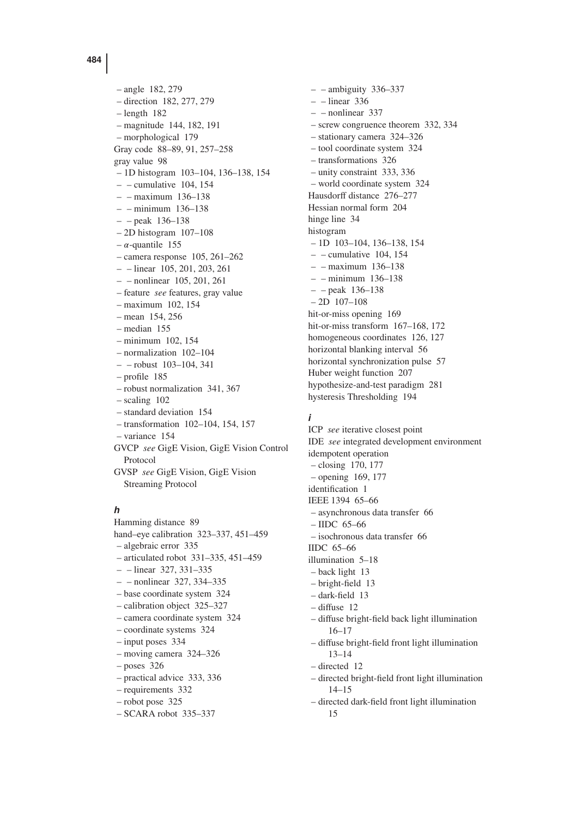– angle 182, 279 – direction 182, 277, 279 – length 182 – magnitude 144, 182, 191 – morphological 179 Gray code 88–89, 91, 257–258 gray value 98 – 1D histogram 103–104, 136–138, 154  $-$  – cumulative 104, 154 – – maximum 136–138 – – minimum 136–138 – – peak 136–138 – 2D histogram 107–108  $-\alpha$ -quantile 155 – camera response 105, 261–262 – – linear 105, 201, 203, 261 – – nonlinear 105, 201, 261 – feature *see* features, gray value – maximum 102, 154 – mean 154, 256 – median 155 – minimum 102, 154 – normalization 102–104 – – robust 103–104, 341 – profile 185 – robust normalization 341, 367 – scaling 102 – standard deviation 154 – transformation 102–104, 154, 157 – variance 154 GVCP *see* GigE Vision, GigE Vision Control Protocol GVSP *see* GigE Vision, GigE Vision

# *h*

Streaming Protocol

Hamming distance 89 hand–eye calibration 323–337, 451–459 – algebraic error 335 – articulated robot 331–335, 451–459 – – linear 327, 331–335 – – nonlinear 327, 334–335 – base coordinate system 324 – calibration object 325–327 – camera coordinate system 324 – coordinate systems 324 – input poses 334 – moving camera 324–326 – poses 326 – practical advice 333, 336 – requirements 332 – robot pose 325 – SCARA robot 335–337

 $-$  – ambiguity 336–337  $-$  – linear 336  $-$  – nonlinear 337 – screw congruence theorem 332, 334 – stationary camera 324–326 – tool coordinate system 324 – transformations 326 – unity constraint 333, 336 – world coordinate system 324 Hausdorff distance 276–277 Hessian normal form 204 hinge line 34 histogram – 1D 103–104, 136–138, 154  $-$  – cumulative 104, 154 – – maximum 136–138 – – minimum 136–138 – – peak 136–138 – 2D 107–108 hit-or-miss opening 169 hit-or-miss transform 167–168, 172 homogeneous coordinates 126, 127 horizontal blanking interval 56 horizontal synchronization pulse 57 Huber weight function 207 hypothesize-and-test paradigm 281 hysteresis Thresholding 194

## *i*

ICP *see* iterative closest point IDE *see* integrated development environment idempotent operation – closing 170, 177 – opening 169, 177 identification 1 IEEE 1394 65–66 – asynchronous data transfer 66 – IIDC 65–66 – isochronous data transfer 66 IIDC 65–66 illumination 5–18 – back light 13 – bright-field 13 – dark-field 13 – diffuse 12 – diffuse bright-field back light illumination 16–17 – diffuse bright-field front light illumination 13–14 – directed 12 – directed bright-field front light illumination 14–15

– directed dark-field front light illumination 15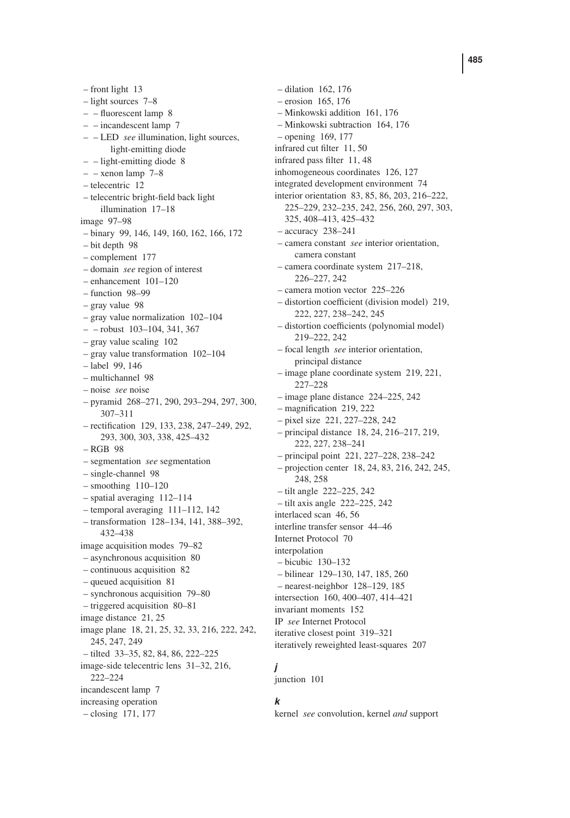– front light 13 – light sources 7–8 – – fluorescent lamp 8 – – incandescent lamp 7 – – LED *see* illumination, light sources, light-emitting diode – – light-emitting diode 8  $-$  – xenon lamp  $7-8$ – telecentric 12 – telecentric bright-field back light illumination 17–18 image 97–98 – binary 99, 146, 149, 160, 162, 166, 172 – bit depth 98 – complement 177 – domain *see* region of interest – enhancement 101–120 – function 98–99 – gray value 98 – gray value normalization 102–104  $-$  - robust 103-104, 341, 367 – gray value scaling 102 – gray value transformation 102–104 – label 99, 146 – multichannel 98 – noise *see* noise – pyramid 268–271, 290, 293–294, 297, 300, 307–311 – rectification 129, 133, 238, 247–249, 292, 293, 300, 303, 338, 425–432 – RGB 98 – segmentation *see* segmentation – single-channel 98 – smoothing 110–120 – spatial averaging 112–114 – temporal averaging 111–112, 142 – transformation 128–134, 141, 388–392, 432–438 image acquisition modes 79–82 – asynchronous acquisition 80 – continuous acquisition 82 – queued acquisition 81 – synchronous acquisition 79–80 – triggered acquisition 80–81 image distance 21, 25 image plane 18, 21, 25, 32, 33, 216, 222, 242, 245, 247, 249 – tilted 33–35, 82, 84, 86, 222–225 image-side telecentric lens 31–32, 216, 222–224 incandescent lamp 7 increasing operation – closing 171, 177

– dilation 162, 176 – erosion 165, 176 – Minkowski addition 161, 176 – Minkowski subtraction 164, 176 – opening 169, 177 infrared cut filter 11, 50 infrared pass filter 11, 48 inhomogeneous coordinates 126, 127 integrated development environment 74 interior orientation 83, 85, 86, 203, 216–222, 225–229, 232–235, 242, 256, 260, 297, 303, 325, 408–413, 425–432 – accuracy 238–241 – camera constant *see* interior orientation, camera constant – camera coordinate system 217–218, 226–227, 242 – camera motion vector 225–226 – distortion coefficient (division model) 219, 222, 227, 238–242, 245 – distortion coefficients (polynomial model) 219–222, 242 – focal length *see* interior orientation, principal distance – image plane coordinate system 219, 221, 227–228 – image plane distance 224–225, 242 – magnification 219, 222 – pixel size 221, 227–228, 242 – principal distance 18, 24, 216–217, 219, 222, 227, 238–241 – principal point 221, 227–228, 238–242 – projection center 18, 24, 83, 216, 242, 245, 248, 258 – tilt angle 222–225, 242 – tilt axis angle 222–225, 242 interlaced scan 46, 56 interline transfer sensor 44–46 Internet Protocol 70 interpolation – bicubic 130–132 – bilinear 129–130, 147, 185, 260 – nearest-neighbor 128–129, 185 intersection 160, 400–407, 414–421 invariant moments 152 IP *see* Internet Protocol iterative closest point 319–321 iteratively reweighted least-squares 207

## *j*

junction 101

## *k*

kernel *see* convolution, kernel *and* support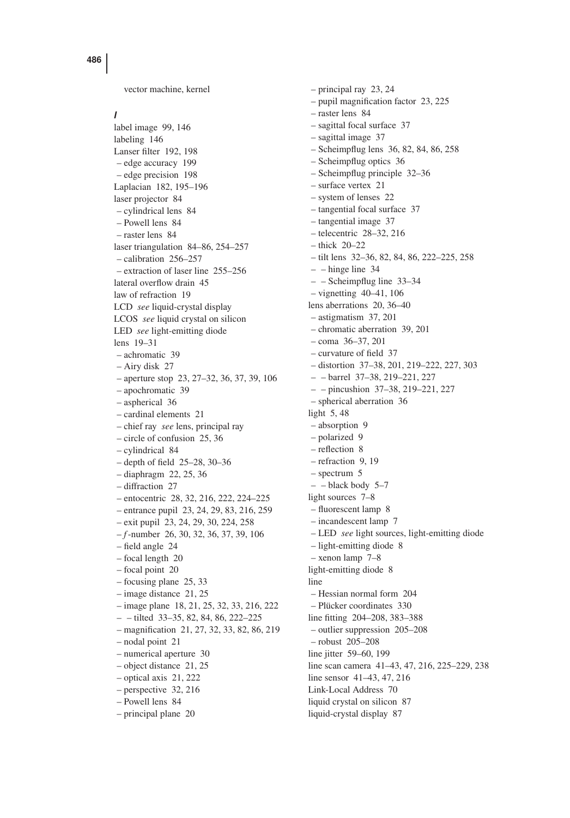vector machine, kernel

## *l*

label image 99, 146 labeling 146 Lanser filter 192, 198 – edge accuracy 199 – edge precision 198 Laplacian 182, 195–196 laser projector 84 – cylindrical lens 84 – Powell lens 84 – raster lens 84 laser triangulation 84–86, 254–257 – calibration 256–257 – extraction of laser line 255–256 lateral overflow drain 45 law of refraction 19 LCD *see* liquid-crystal display LCOS *see* liquid crystal on silicon LED *see* light-emitting diode lens 19–31 – achromatic 39 – Airy disk 27 – aperture stop 23, 27–32, 36, 37, 39, 106 – apochromatic 39 – aspherical 36 – cardinal elements 21 – chief ray *see* lens, principal ray – circle of confusion 25, 36 – cylindrical 84 – depth of field 25–28, 30–36 – diaphragm 22, 25, 36 – diffraction 27 – entocentric 28, 32, 216, 222, 224–225 – entrance pupil 23, 24, 29, 83, 216, 259 – exit pupil 23, 24, 29, 30, 224, 258 – *f*-number 26, 30, 32, 36, 37, 39, 106 – field angle 24 – focal length 20 – focal point 20 – focusing plane 25, 33 – image distance 21, 25 – image plane 18, 21, 25, 32, 33, 216, 222 – – tilted 33–35, 82, 84, 86, 222–225 – magnification 21, 27, 32, 33, 82, 86, 219 – nodal point 21 – numerical aperture 30 – object distance 21, 25 – optical axis 21, 222 – perspective 32, 216 – Powell lens 84 – principal plane 20

– principal ray 23, 24 – pupil magnification factor 23, 225 – raster lens 84 – sagittal focal surface 37 – sagittal image 37 – Scheimpflug lens 36, 82, 84, 86, 258 – Scheimpflug optics 36 – Scheimpflug principle 32–36 – surface vertex 21 – system of lenses 22 – tangential focal surface 37 – tangential image 37 – telecentric 28–32, 216 – thick 20–22 – tilt lens 32–36, 82, 84, 86, 222–225, 258  $-$  – hinge line 34 – – Scheimpflug line 33–34 – vignetting 40–41, 106 lens aberrations 20, 36–40 – astigmatism 37, 201 – chromatic aberration 39, 201 – coma 36–37, 201 – curvature of field 37 – distortion 37–38, 201, 219–222, 227, 303 – – barrel 37–38, 219–221, 227 – – pincushion 37–38, 219–221, 227 – spherical aberration 36 light 5, 48 – absorption 9 – polarized 9 – reflection 8 – refraction 9, 19 – spectrum 5  $-$  – black body 5–7 light sources 7–8 – fluorescent lamp 8 – incandescent lamp 7 – LED *see* light sources, light-emitting diode – light-emitting diode 8 – xenon lamp 7–8 light-emitting diode 8 line – Hessian normal form 204 – Plücker coordinates 330 line fitting 204–208, 383–388 – outlier suppression 205–208 – robust 205–208 line jitter 59–60, 199 line scan camera 41–43, 47, 216, 225–229, 238 line sensor 41–43, 47, 216 Link-Local Address 70 liquid crystal on silicon 87 liquid-crystal display 87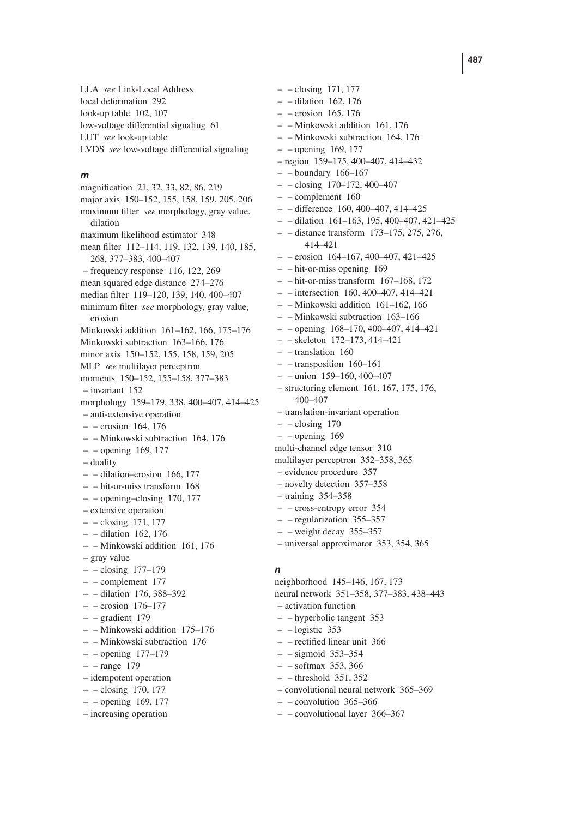LLA *see* Link-Local Address local deformation 292 look-up table 102, 107 low-voltage differential signaling 61 LUT *see* look-up table LVDS *see* low-voltage differential signaling

#### *m*

magnification 21, 32, 33, 82, 86, 219 major axis 150–152, 155, 158, 159, 205, 206 maximum filter *see* morphology, gray value, dilation maximum likelihood estimator 348 mean filter 112–114, 119, 132, 139, 140, 185, 268, 377–383, 400–407 – frequency response 116, 122, 269 mean squared edge distance 274–276 median filter 119–120, 139, 140, 400–407 minimum filter *see* morphology, gray value, erosion Minkowski addition 161–162, 166, 175–176 Minkowski subtraction 163–166, 176 minor axis 150–152, 155, 158, 159, 205 MLP *see* multilayer perceptron moments 150–152, 155–158, 377–383 – invariant 152 morphology 159–179, 338, 400–407, 414–425 – anti-extensive operation – – erosion 164, 176 – – Minkowski subtraction 164, 176 – – opening 169, 177 – duality – – dilation–erosion 166, 177 – – hit-or-miss transform 168 – – opening–closing 170, 177 – extensive operation – – closing 171, 177 – – dilation 162, 176 – – Minkowski addition 161, 176 – gray value – – closing 177–179 – – complement 177 – – dilation 176, 388–392 – – erosion 176–177 – – gradient 179 – – Minkowski addition 175–176 – – Minkowski subtraction 176 – – opening 177–179 – – range 179 – idempotent operation – – closing 170, 177 – – opening 169, 177 – increasing operation

– – dilation 162, 176 – – erosion 165, 176 – – Minkowski addition 161, 176 – – Minkowski subtraction 164, 176 – – opening 169, 177 – region 159–175, 400–407, 414–432 – – boundary 166–167  $-$  – closing 170–172, 400–407 – – complement 160 – – difference 160, 400–407, 414–425 – – dilation 161–163, 195, 400–407, 421–425 – – distance transform 173–175, 275, 276, 414–421  $-$  – erosion 164–167, 400–407, 421–425 – – hit-or-miss opening 169  $-$  – hit-or-miss transform 167–168, 172 – – intersection 160, 400–407, 414–421 – – Minkowski addition 161–162, 166 – – Minkowski subtraction 163–166 – – opening 168–170, 400–407, 414–421 – – skeleton 172–173, 414–421  $-$  – translation 160 – – transposition 160–161  $-$  – union 159–160, 400–407 – structuring element 161, 167, 175, 176, 400–407 – translation-invariant operation  $-$  – closing 170  $-$  – opening 169 multi-channel edge tensor 310 multilayer perceptron 352–358, 365 – evidence procedure 357 – novelty detection 357–358 – training 354–358 – – cross-entropy error 354 – – regularization 355–357  $-$  – weight decay 355–357 – universal approximator 353, 354, 365

– – closing 171, 177

## *n*

neighborhood 145–146, 167, 173 neural network 351–358, 377–383, 438–443 – activation function – – hyperbolic tangent 353  $-$  – logistic 353 – – rectified linear unit 366 – – sigmoid 353–354 – – softmax 353, 366  $-$  – threshold 351, 352 – convolutional neural network 365–369  $-$  – convolution 365–366

– – convolutional layer 366–367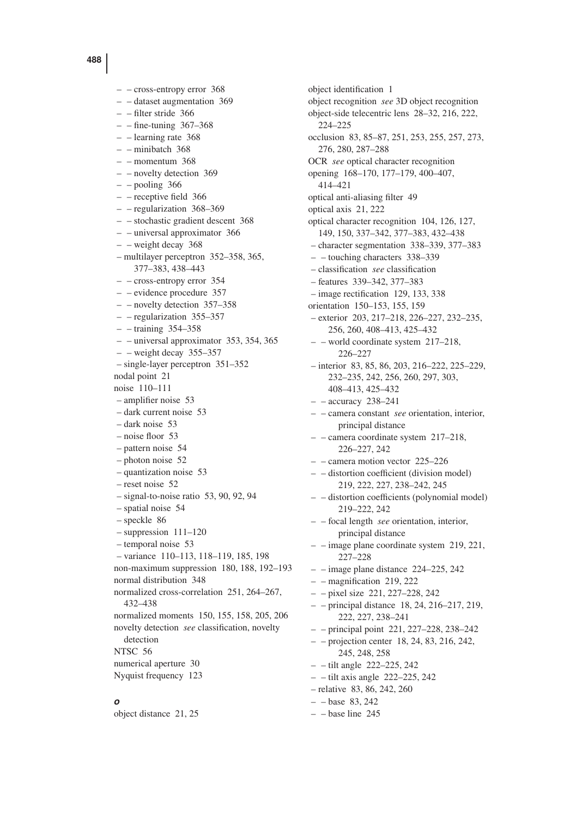– – cross-entropy error 368 – – dataset augmentation 369 – – filter stride 366  $-$  – fine-tuning 367–368 – – learning rate 368 – – minibatch 368  $-$  – momentum 368 – – novelty detection 369  $-$  – pooling 366 – – receptive field 366 – – regularization 368–369 – – stochastic gradient descent 368 – – universal approximator 366 – – weight decay 368 – multilayer perceptron 352–358, 365, 377–383, 438–443 – – cross-entropy error 354 – – evidence procedure 357 – – novelty detection 357–358 – – regularization 355–357 – – training 354–358 – – universal approximator 353, 354, 365  $-$  – weight decay 355–357 – single-layer perceptron 351–352 nodal point 21 noise 110–111 – amplifier noise 53 – dark current noise 53 – dark noise 53 – noise floor 53 – pattern noise 54 – photon noise 52 – quantization noise 53 – reset noise 52 – signal-to-noise ratio 53, 90, 92, 94 – spatial noise 54 – speckle 86 – suppression 111–120 – temporal noise 53 – variance 110–113, 118–119, 185, 198 non-maximum suppression 180, 188, 192–193 normal distribution 348 normalized cross-correlation 251, 264–267, 432–438 normalized moments 150, 155, 158, 205, 206 novelty detection *see* classification, novelty detection NTSC 56 numerical aperture 30 Nyquist frequency 123

*o*

object distance 21, 25

object identification 1 object recognition *see* 3D object recognition object-side telecentric lens 28–32, 216, 222, 224–225 occlusion 83, 85–87, 251, 253, 255, 257, 273, 276, 280, 287–288 OCR *see* optical character recognition opening 168–170, 177–179, 400–407, 414–421 optical anti-aliasing filter 49 optical axis 21, 222 optical character recognition 104, 126, 127, 149, 150, 337–342, 377–383, 432–438 – character segmentation 338–339, 377–383 – – touching characters 338–339 – classification *see* classification – features 339–342, 377–383 – image rectification 129, 133, 338 orientation 150–153, 155, 159 – exterior 203, 217–218, 226–227, 232–235, 256, 260, 408–413, 425–432 – – world coordinate system 217–218, 226–227 – interior 83, 85, 86, 203, 216–222, 225–229, 232–235, 242, 256, 260, 297, 303, 408–413, 425–432  $-$  – accuracy 238–241 – – camera constant *see* orientation, interior, principal distance – – camera coordinate system 217–218, 226–227, 242 – – camera motion vector 225–226 – – distortion coefficient (division model) 219, 222, 227, 238–242, 245 – – distortion coefficients (polynomial model) 219–222, 242 – – focal length *see* orientation, interior, principal distance – – image plane coordinate system 219, 221, 227–228  $-$  – image plane distance 224–225, 242  $-$  – magnification 219, 222 – – pixel size 221, 227–228, 242 – – principal distance 18, 24, 216–217, 219, 222, 227, 238–241 – – principal point 221, 227–228, 238–242 – – projection center 18, 24, 83, 216, 242, 245, 248, 258 – – tilt angle 222–225, 242  $-$  – tilt axis angle 222–225, 242 – relative 83, 86, 242, 260  $- -$ base 83, 242  $-$  – base line 245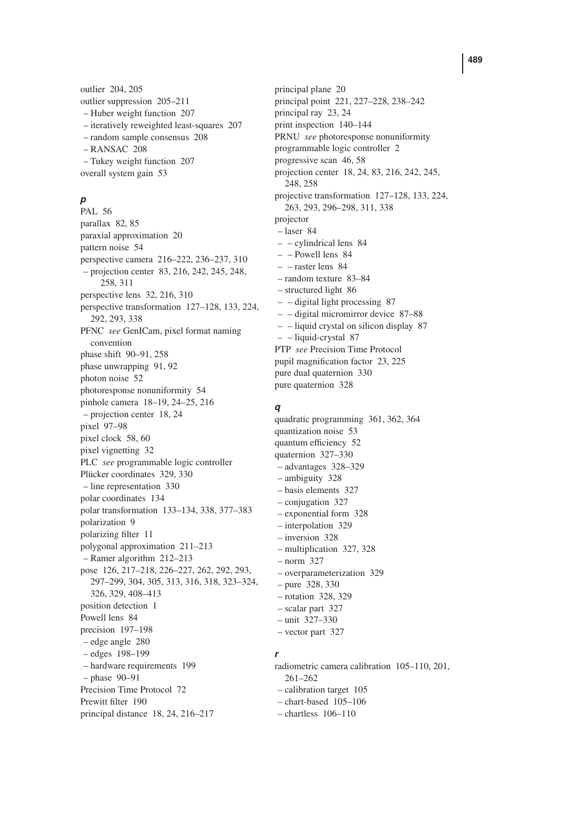outlier 204, 205 outlier suppression 205–211 – Huber weight function 207 – iteratively reweighted least-squares 207 – random sample consensus 208 – RANSAC 208 – Tukey weight function 207 overall system gain 53

## *p*

PAL 56 parallax 82, 85 paraxial approximation 20 pattern noise 54 perspective camera 216–222, 236–237, 310 – projection center 83, 216, 242, 245, 248, 258, 311 perspective lens 32, 216, 310 perspective transformation 127–128, 133, 224, 292, 293, 338 PFNC *see* GenICam, pixel format naming convention phase shift 90–91, 258 phase unwrapping 91, 92 photon noise 52 photoresponse nonuniformity 54 pinhole camera 18–19, 24–25, 216 – projection center 18, 24 pixel 97–98 pixel clock 58, 60 pixel vignetting 32 PLC *see* programmable logic controller Plücker coordinates 329, 330 – line representation 330 polar coordinates 134 polar transformation 133–134, 338, 377–383 polarization 9 polarizing filter 11 polygonal approximation 211–213 – Ramer algorithm 212–213 pose 126, 217–218, 226–227, 262, 292, 293, 297–299, 304, 305, 313, 316, 318, 323–324, 326, 329, 408–413 position detection 1 Powell lens 84 precision 197–198 – edge angle 280 – edges 198–199 – hardware requirements 199 – phase 90–91 Precision Time Protocol 72 Prewitt filter 190 principal distance 18, 24, 216–217

principal plane 20 principal point 221, 227–228, 238–242 principal ray 23, 24 print inspection 140–144 PRNU *see* photoresponse nonuniformity programmable logic controller 2 progressive scan 46, 58 projection center 18, 24, 83, 216, 242, 245, 248, 258 projective transformation 127–128, 133, 224, 263, 293, 296–298, 311, 338 projector – laser 84 – – cylindrical lens 84 – – Powell lens 84  $-$  – raster lens  $84$ – random texture 83–84 – structured light 86 – – digital light processing 87 – – digital micromirror device 87–88 – – liquid crystal on silicon display 87 – – liquid-crystal 87 PTP *see* Precision Time Protocol pupil magnification factor 23, 225 pure dual quaternion 330 pure quaternion 328

### *q*

quadratic programming 361, 362, 364 quantization noise 53 quantum efficiency 52 quaternion 327–330 – advantages 328–329 – ambiguity 328 – basis elements 327 – conjugation 327 – exponential form 328 – interpolation 329 – inversion 328 – multiplication 327, 328 – norm 327 – overparameterization 329 – pure 328, 330 – rotation 328, 329 – scalar part 327 – unit 327–330 – vector part 327

## *r*

radiometric camera calibration 105–110, 201, 261–262 – calibration target 105 – chart-based 105–106 – chartless 106–110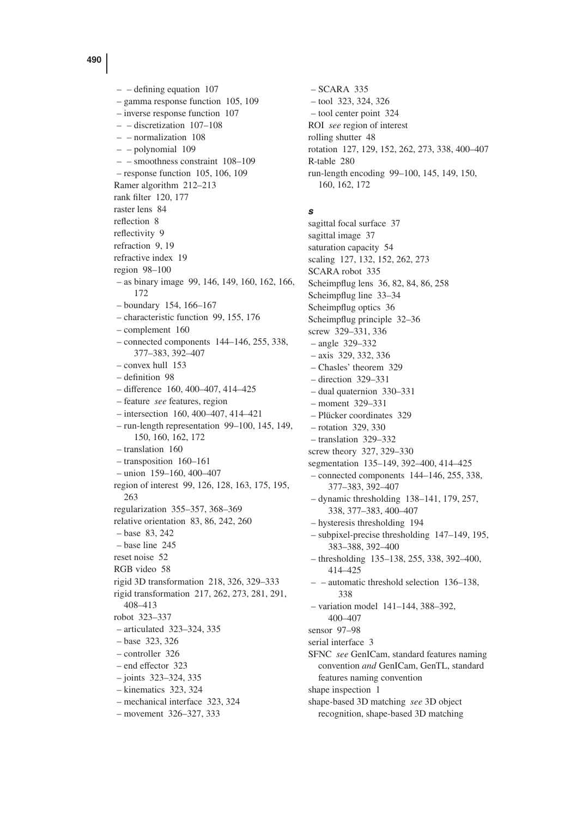$-$  – defining equation 107 – gamma response function 105, 109 – inverse response function 107 – – discretization 107–108 – – normalization 108 – – polynomial 109 – – smoothness constraint 108–109 – response function 105, 106, 109 Ramer algorithm 212–213 rank filter 120, 177 raster lens 84 reflection 8 reflectivity 9 refraction 9, 19 refractive index 19 region 98–100 – as binary image 99, 146, 149, 160, 162, 166, 172 – boundary 154, 166–167 – characteristic function 99, 155, 176 – complement 160 – connected components 144–146, 255, 338, 377–383, 392–407 – convex hull 153 – definition 98 – difference 160, 400–407, 414–425 – feature *see* features, region – intersection 160, 400–407, 414–421 – run-length representation 99–100, 145, 149, 150, 160, 162, 172 – translation 160 – transposition 160–161 – union 159–160, 400–407 region of interest 99, 126, 128, 163, 175, 195, 263 regularization 355–357, 368–369 relative orientation 83, 86, 242, 260 – base 83, 242 – base line 245 reset noise 52 RGB video 58 rigid 3D transformation 218, 326, 329–333 rigid transformation 217, 262, 273, 281, 291, 408–413 robot 323–337 – articulated 323–324, 335 – base 323, 326 – controller 326 – end effector 323 – joints 323–324, 335 – kinematics 323, 324 – mechanical interface 323, 324 – movement 326–327, 333

– SCARA 335 – tool 323, 324, 326 – tool center point 324 ROI *see* region of interest rolling shutter 48 rotation 127, 129, 152, 262, 273, 338, 400–407 R-table 280 run-length encoding 99–100, 145, 149, 150, 160, 162, 172

### *s*

sagittal focal surface 37 sagittal image 37 saturation capacity 54 scaling 127, 132, 152, 262, 273 SCARA robot 335 Scheimpflug lens 36, 82, 84, 86, 258 Scheimpflug line 33–34 Scheimpflug optics 36 Scheimpflug principle 32–36 screw 329–331, 336 – angle 329–332 – axis 329, 332, 336 – Chasles' theorem 329 – direction 329–331 – dual quaternion 330–331 – moment 329–331 – Plücker coordinates 329 – rotation 329, 330 – translation 329–332 screw theory 327, 329–330 segmentation 135–149, 392–400, 414–425 – connected components 144–146, 255, 338, 377–383, 392–407 – dynamic thresholding 138–141, 179, 257, 338, 377–383, 400–407 – hysteresis thresholding 194 – subpixel-precise thresholding 147–149, 195, 383–388, 392–400 – thresholding 135–138, 255, 338, 392–400, 414–425 – – automatic threshold selection 136–138, 338 – variation model 141–144, 388–392, 400–407 sensor 97–98 serial interface 3 SFNC *see* GenICam, standard features naming convention *and* GenICam, GenTL, standard features naming convention shape inspection 1 shape-based 3D matching *see* 3D object recognition, shape-based 3D matching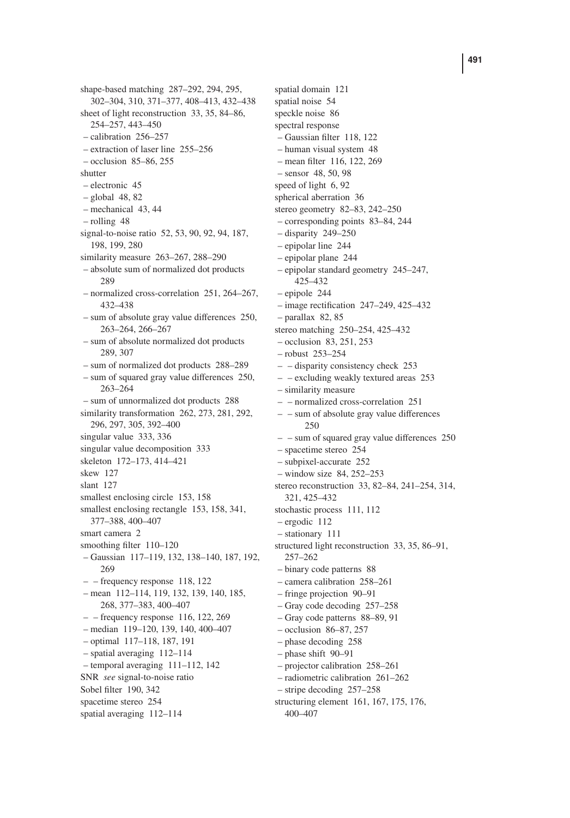shape-based matching 287–292, 294, 295, 302–304, 310, 371–377, 408–413, 432–438 sheet of light reconstruction 33, 35, 84–86, 254–257, 443–450 – calibration 256–257 – extraction of laser line 255–256 – occlusion 85–86, 255 shutter – electronic 45 – global 48, 82 – mechanical 43, 44 – rolling 48 signal-to-noise ratio 52, 53, 90, 92, 94, 187, 198, 199, 280 similarity measure 263–267, 288–290 – absolute sum of normalized dot products 289 – normalized cross-correlation 251, 264–267, 432–438 – sum of absolute gray value differences 250, 263–264, 266–267 – sum of absolute normalized dot products 289, 307 – sum of normalized dot products 288–289 – sum of squared gray value differences 250, 263–264 – sum of unnormalized dot products 288 similarity transformation 262, 273, 281, 292, 296, 297, 305, 392–400 singular value 333, 336 singular value decomposition 333 skeleton 172–173, 414–421 skew 127 slant 127 smallest enclosing circle 153, 158 smallest enclosing rectangle 153, 158, 341, 377–388, 400–407 smart camera 2 smoothing filter 110–120 – Gaussian 117–119, 132, 138–140, 187, 192, 269 – – frequency response 118, 122 – mean 112–114, 119, 132, 139, 140, 185, 268, 377–383, 400–407 – – frequency response 116, 122, 269 – median 119–120, 139, 140, 400–407 – optimal 117–118, 187, 191 – spatial averaging 112–114 – temporal averaging 111–112, 142 SNR *see* signal-to-noise ratio Sobel filter 190, 342 spacetime stereo 254 spatial averaging 112–114

spatial domain 121 spatial noise 54 speckle noise 86 spectral response – Gaussian filter 118, 122 – human visual system 48 – mean filter 116, 122, 269 – sensor 48, 50, 98 speed of light 6, 92 spherical aberration 36 stereo geometry 82–83, 242–250 – corresponding points 83–84, 244 – disparity 249–250 – epipolar line 244 – epipolar plane 244 – epipolar standard geometry 245–247, 425–432 – epipole 244 – image rectification 247–249, 425–432 – parallax 82, 85 stereo matching 250–254, 425–432 – occlusion 83, 251, 253 – robust 253–254 – – disparity consistency check 253 – – excluding weakly textured areas 253 – similarity measure – – normalized cross-correlation 251 – – sum of absolute gray value differences 250 – – sum of squared gray value differences 250 – spacetime stereo 254 – subpixel-accurate 252 – window size 84, 252–253 stereo reconstruction 33, 82–84, 241–254, 314, 321, 425–432 stochastic process 111, 112 – ergodic 112 – stationary 111 structured light reconstruction 33, 35, 86–91, 257–262 – binary code patterns 88 – camera calibration 258–261 – fringe projection 90–91 – Gray code decoding 257–258 – Gray code patterns 88–89, 91 – occlusion 86–87, 257 – phase decoding 258 – phase shift 90–91 – projector calibration 258–261 – radiometric calibration 261–262 – stripe decoding 257–258 structuring element 161, 167, 175, 176,

400–407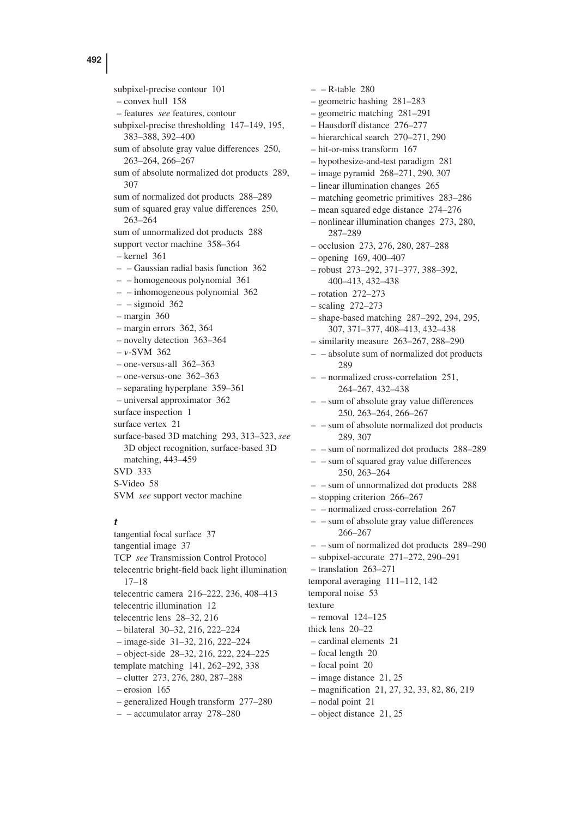subpixel-precise contour 101 – convex hull 158 – features *see* features, contour subpixel-precise thresholding 147–149, 195, 383–388, 392–400 sum of absolute gray value differences 250, 263–264, 266–267 sum of absolute normalized dot products 289, 307 sum of normalized dot products 288–289 sum of squared gray value differences 250, 263–264 sum of unnormalized dot products 288 support vector machine 358–364 – kernel 361  $-$  – Gaussian radial basis function 362 – – homogeneous polynomial 361 – – inhomogeneous polynomial 362  $-$  – sigmoid 362 – margin 360 – margin errors 362, 364 – novelty detection 363–364  $- v$ -SVM 362 – one-versus-all 362–363 – one-versus-one 362–363 – separating hyperplane 359–361 – universal approximator 362 surface inspection 1 surface vertex 21 surface-based 3D matching 293, 313–323, *see* 3D object recognition, surface-based 3D matching, 443–459 SVD 333 S-Video 58 SVM *see* support vector machine

### *t*

tangential focal surface 37 tangential image 37 TCP *see* Transmission Control Protocol telecentric bright-field back light illumination 17–18 telecentric camera 216–222, 236, 408–413 telecentric illumination 12 telecentric lens 28–32, 216 – bilateral 30–32, 216, 222–224 – image-side 31–32, 216, 222–224 – object-side 28–32, 216, 222, 224–225 template matching 141, 262–292, 338 – clutter 273, 276, 280, 287–288 – erosion 165 – generalized Hough transform 277–280 – – accumulator array 278–280

 $-$  – R-table 280 – geometric hashing 281–283 – geometric matching 281–291 – Hausdorff distance 276–277 – hierarchical search 270–271, 290 – hit-or-miss transform 167 – hypothesize-and-test paradigm 281 – image pyramid 268–271, 290, 307 – linear illumination changes 265 – matching geometric primitives 283–286 – mean squared edge distance 274–276 – nonlinear illumination changes 273, 280, 287–289 – occlusion 273, 276, 280, 287–288 – opening 169, 400–407 – robust 273–292, 371–377, 388–392, 400–413, 432–438 – rotation 272–273 – scaling 272–273 – shape-based matching 287–292, 294, 295, 307, 371–377, 408–413, 432–438 – similarity measure 263–267, 288–290 – – absolute sum of normalized dot products 289 – – normalized cross-correlation 251, 264–267, 432–438 – – sum of absolute gray value differences 250, 263–264, 266–267 – – sum of absolute normalized dot products 289, 307 – – sum of normalized dot products 288–289 – – sum of squared gray value differences 250, 263–264 – – sum of unnormalized dot products 288 – stopping criterion 266–267 – – normalized cross-correlation 267 – – sum of absolute gray value differences 266–267 – – sum of normalized dot products 289–290 – subpixel-accurate 271–272, 290–291 – translation 263–271 temporal averaging 111–112, 142 temporal noise 53 texture – removal 124–125 thick lens 20–22 – cardinal elements 21 – focal length 20 – focal point 20 – image distance 21, 25 – magnification 21, 27, 32, 33, 82, 86, 219 – nodal point 21 – object distance 21, 25

**492**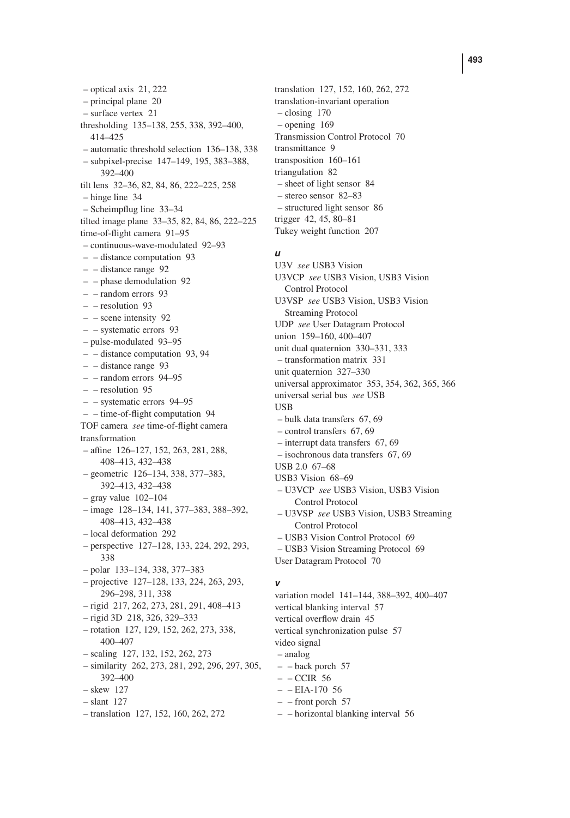– optical axis 21, 222 – principal plane 20 – surface vertex 21 thresholding 135–138, 255, 338, 392–400, 414–425 – automatic threshold selection 136–138, 338 – subpixel-precise 147–149, 195, 383–388, 392–400 tilt lens 32–36, 82, 84, 86, 222–225, 258 – hinge line 34 – Scheimpflug line 33–34 tilted image plane 33–35, 82, 84, 86, 222–225 time-of-flight camera 91–95 – continuous-wave-modulated 92–93 – – distance computation 93 – – distance range 92 – – phase demodulation 92 – – random errors 93 – – resolution 93 – – scene intensity 92 – – systematic errors 93 – pulse-modulated 93–95 – – distance computation 93, 94 – – distance range 93 – – random errors 94–95 – – resolution 95 – – systematic errors 94–95 – – time-of-flight computation 94 TOF camera *see* time-of-flight camera transformation – affine 126–127, 152, 263, 281, 288, 408–413, 432–438 – geometric 126–134, 338, 377–383, 392–413, 432–438  $-$  gray value  $102-104$ – image 128–134, 141, 377–383, 388–392, 408–413, 432–438 – local deformation 292 – perspective 127–128, 133, 224, 292, 293, 338 – polar 133–134, 338, 377–383 – projective 127–128, 133, 224, 263, 293, 296–298, 311, 338 – rigid 217, 262, 273, 281, 291, 408–413 – rigid 3D 218, 326, 329–333 – rotation 127, 129, 152, 262, 273, 338, 400–407 – scaling 127, 132, 152, 262, 273 – similarity 262, 273, 281, 292, 296, 297, 305, 392–400 – skew 127 – slant 127 – translation 127, 152, 160, 262, 272

translation 127, 152, 160, 262, 272 translation-invariant operation – closing 170 – opening 169 Transmission Control Protocol 70 transmittance 9 transposition 160–161 triangulation 82 – sheet of light sensor 84 – stereo sensor 82–83 – structured light sensor 86 trigger 42, 45, 80–81 Tukey weight function 207

#### *u*

U3V *see* USB3 Vision U3VCP *see* USB3 Vision, USB3 Vision Control Protocol U3VSP *see* USB3 Vision, USB3 Vision Streaming Protocol UDP *see* User Datagram Protocol union 159–160, 400–407 unit dual quaternion 330–331, 333 – transformation matrix 331 unit quaternion 327–330 universal approximator 353, 354, 362, 365, 366 universal serial bus *see* USB **IISB** – bulk data transfers 67, 69 – control transfers 67, 69 – interrupt data transfers 67, 69 – isochronous data transfers 67, 69 USB 2.0 67–68 USB3 Vision 68–69 – U3VCP *see* USB3 Vision, USB3 Vision Control Protocol – U3VSP *see* USB3 Vision, USB3 Streaming Control Protocol – USB3 Vision Control Protocol 69 – USB3 Vision Streaming Protocol 69 User Datagram Protocol 70

### *v*

variation model 141–144, 388–392, 400–407 vertical blanking interval 57 vertical overflow drain 45 vertical synchronization pulse 57 video signal – analog – – back porch 57  $-$  – CCIR 56  $-$  – EIA-170 56  $-$  – front porch 57

– – horizontal blanking interval 56

#### **493**